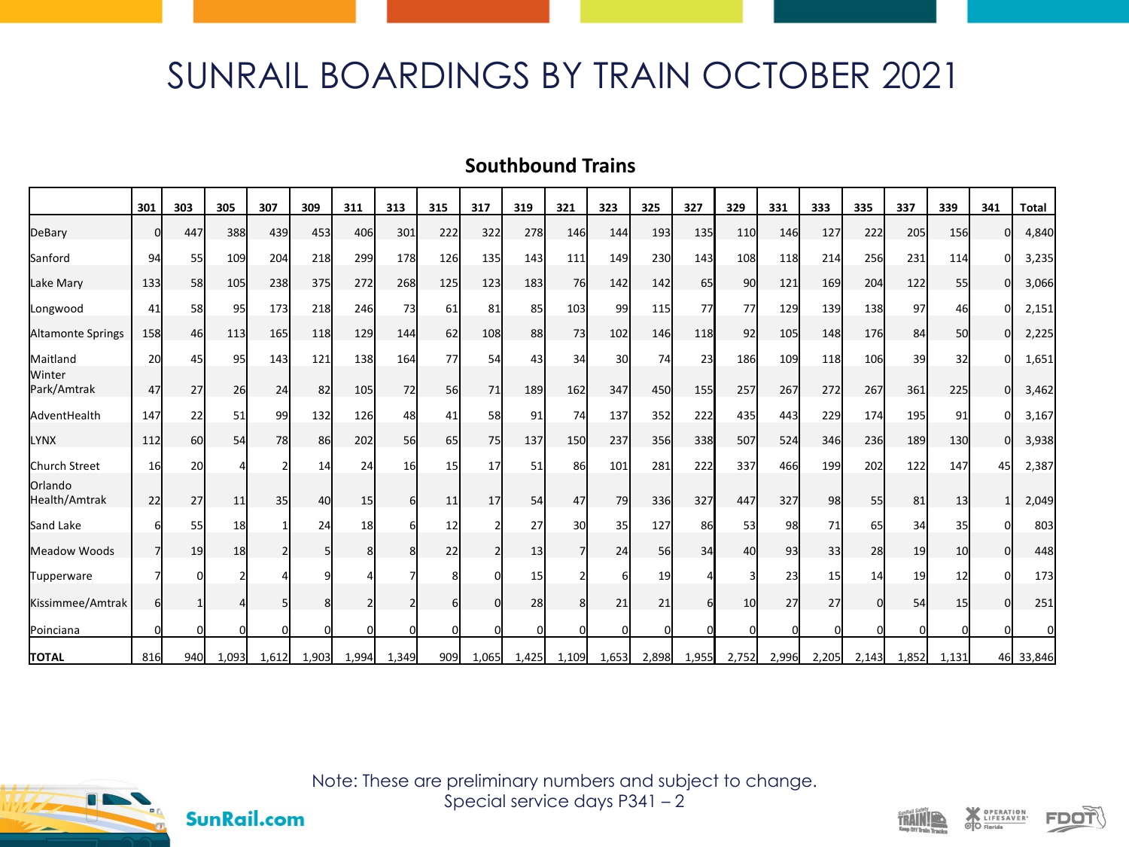## SUNRAIL BOARDINGS BY TRAIN OCTOBER 2021

## **Southbound Trains**

|                          | 301      | 303 | 305             | 307      | 309   | 311          | 313   | 315 | 317      | 319   | 321                     | 323   | 325      | 327   | 329   | 331      | 333      | 335      | 337   | 339   | 341 | <b>Total</b> |
|--------------------------|----------|-----|-----------------|----------|-------|--------------|-------|-----|----------|-------|-------------------------|-------|----------|-------|-------|----------|----------|----------|-------|-------|-----|--------------|
| DeBary                   | ი        | 447 | 388             | 439      | 453   | 406          | 301   | 222 | 322      | 278   | 146                     | 144   | 193      | 135   | 110   | 146      | 127      | 222      | 205   | 156   | n   | 4,840        |
| Sanford                  | 94       | 55  | 109             | 204      | 218   | 299          | 178   | 126 | 135      | 143   | 111                     | 149   | 230      | 143   | 108   | 118      | 214      | 256      | 231   | 114   |     | 3,235        |
| Lake Mary                | 133      | 58  | 105             | 238      | 375   | 272          | 268   | 125 | 123      | 183   | 76                      | 142   | 142      | 65    | 90    | 121      | 169      | 204      | 122   | 55    | n   | 3,066        |
| Longwood                 | 41       | 58  | 95              | 173      | 218   | 246          | 73    | 61  | 81       | 85    | 103                     | 99    | 115      | 77    | 77    | 129      | 139      | 138      | 97    | 46    |     | 2,151        |
| Altamonte Springs        | 158      | 46  | 113             | 165      | 118   | 129          | 144   | 62  | 108      | 88    | 73                      | 102   | 146      | 118   | 92    | 105      | 148      | 176      | 84    | 50    | U   | 2,225        |
| Maitland                 | 20       | 45  | 95              | 143      | 121   | 138          | 164   | 77  | 54       | 43    | 34                      | 30    | 74       | 23    | 186   | 109      | 118      | 106      | 39    | 32    |     | 1,651        |
| Winter<br>Park/Amtrak    | 47       | 27  | 26              | 24       | 82    | 105          | 72    | 56  | 71       | 189   | 162                     | 347   | 450      | 155   | 257   | 267      | 272      | 267      | 361   | 225   | n   | 3,462        |
| AdventHealth             | 147      | 22  | 51              | 99       | 132   | 126          | 48    | 41  | 58       | 91    | 74                      | 137   | 352      | 222   | 435   | 443      | 229      | 174      | 195   | 91    |     | 3,167        |
| <b>LYNX</b>              | 112      | 60  | 54              | 78       | 86    | 202          | 56    | 65  | 75       | 137   | 150                     | 237   | 356      | 338   | 507   | 524      | 346      | 236      | 189   | 130   | n   | 3,938        |
| Church Street            | 16       | 20  |                 |          | 14    | 24           | 16    | 15  | 17       | 51    | 86                      | 101   | 281      | 222   | 337   | 466      | 199      | 202      | 122   | 147   | 45  | 2,387        |
| Orlando<br>Health/Amtrak | 22       | 27  | 11              | 35       | 40    | 15           | 6     | 11  | 17       | 54    | 47                      | 79    | 336      | 327   | 447   | 327      | 98       | 55       | 81    | 13    |     | 2,049        |
| Sand Lake                |          | 55  | 18 <sup>l</sup> |          | 24    | 18           |       | 12  |          | 27    | 30                      | 35    | 127      | 86    | 53    | 98l      | 71       | 65       | 34    | 35    |     | 803          |
| Meadow Woods             |          | 19  | 18              |          |       | $\mathsf{R}$ |       | 22  |          | 13    | $\overline{7}$          | 24    | 56       | 34    | 40    | 93       | 33       | 28       | 19    | 10    |     | 448          |
| Tupperware               |          |     |                 |          |       |              |       |     |          | 15    |                         |       | 19       |       |       | 23       | 15       | 14       | 19    | 12    |     | 173          |
| Kissimmee/Amtrak         | 6l       |     |                 |          |       |              |       |     | $\Omega$ | 28    | $\mathsf{\overline{8}}$ | 21    | 21       |       | 10    | 27       | 27       | $\Omega$ | 54    | 15    | n   | 251          |
| Poinciana                | $\Omega$ |     | $\mathbf 0$     | $\Omega$ |       |              |       | O   | $\Omega$ | n     | $\Omega$                | O     | $\Omega$ |       |       | $\Omega$ | $\Omega$ |          |       |       |     |              |
| <b>TOTAL</b>             | 816      | 940 | 1,093           | 1,612    | 1,903 | 1,994        | 1,349 | 909 | 1,065    | 1,425 | 1,109                   | 1,653 | 2,898    | 1,955 | 2,752 | 2,996    | 2,205    | 2,143    | 1,852 | 1,131 |     | 46 33,846    |



**SunRail.com** 

Note: These are preliminary numbers and subject to change. Special service days P341 – 2